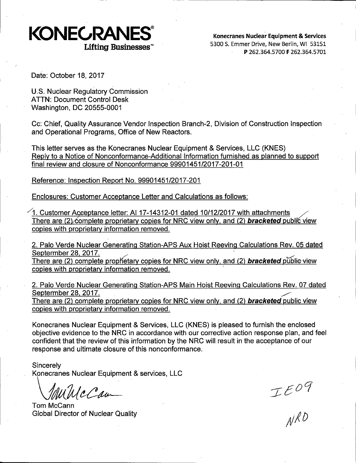

Konecranes Nuclear Equipment & Services 5300 S. Emmer Drive, New Berlin, WI 53151 P 262.364.5700 F 262.364.5701

Date: October 18, 2017

U.S. Nuclear Regulatory Commission ATTN: Document Control Desk Washington, DC 20555-0001

Cc: Chief, Quality Assurance Vendor Inspection Branch-2, Division of Construction Inspection and Operational Programs, Office of New Reactors.

This letter serves as the Konecranes Nuclear Equipment & Services, LLC (KNES) Reply to a Notice of Nonconformance-Additional Information furnished as planned to support final review and closure of Nonconformance 99901451/2017-201-01

Reference: Inspection Report No. 99901451/2017-201

Enclosures: Customer Acceptance Letter and Calculations as follows:

1. Customer Acceptance letter: AI 17-14312-01 dated 10/12/2017 with attachments There are (2) complete proprietary copies for NRC view only, and (2) **bracketed** public view copies with proprietary information removed.

2. Palo Verde Nuclear Generating Station-APS Aux Hoist Reeving Calculations Rev. 05 dated Septermber 28, 2017.

There are (2) complete propretary copies for NRC view only, and (2) **bracketed** public view copies with proprietary information removed. !

2. Palo Verde Nuclear Generating Station-APS Main Hoist Reeving Calculations Rev. 07 dated Septermber 28. 2017. ~

There are (2) complete proprietary copies for NRC view only, and (2) **bracketed** public view copies with proprietary information removed.

Konecranes Nuclear Equipment & Services, LLC (KNES) is pleased to furnish the enclosed objective evidence to the NRC in accordance with our corrective action response plan, and feel confident that the review of this information by the NRC will result in the acceptance of our response and ultimate closure of this nonconformance.

**Sincerely** Konecranes Nuclear Equipment & services, LLC

incerely<br>onecranes Nuclear Equipment & services<br>*JAUM CCau* 

Tom Mccann Global Director of Nuclear Quality

 $\begin{array}{c}\n\mathcal{I} \in \mathcal{O} \\
\mathcal{I} \times \mathcal{O} \\
\mathcal{N} \times \mathcal{O}\n\end{array}$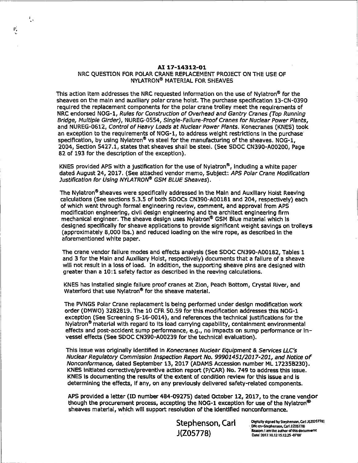#### AI 17-14312-01 NRC QUESTION FOR POLAR CRANE REPLACEMENT PROJECT ON THE USE OF NYLATRON® MATERIAL FOR SHEAVES

This action Item addresses the NRC requested Information on the use of Nylatron® for the sheaves on the main and auxlliary polar crane hoist. The purchase specification 13-CN-0390 required the replacement components for the polar crane trolley meet the requirements of NRC endorsed NOG-1, Rules for Construction of Overhead and Gantry Cranes (Top Running Bridge, Multiple Girder), NUREG-0554, Single-Failure-Proof Cranes for Nuclear Power Plants, and NUREG-0612, Control of Heavy Loads at Nuclear Power Plants. Konecranes (KNES) took an exception to the requirements of NOG-1, to address weight restrictions in the purchase<sup>-</sup> specification, by using Nylatron® vs steel for the manufacturing of the sheaves. NOG-1, 2004, Section 5427.1, states that sheaves shall be steel. (See SDOC CN390-A00200, Page 82 of 193 for the description of the exception).

KNES provided APS with a justification for the use of Nylatron<sup>®</sup>, including a white paper dated August 24, 2017. (See attached vendor memo, Subject: APS Polar Crane Modification Justification for Using NYLATRON® GSM BLUE Sheaves).

The Nylatron® sheaves were specifically addressed In the Main and Auxiliary Holst Reeving calculations (See sections 5.3.5 of both SDOCs CN390-A00181 and 204, respectively) each of which went through formal engineering review, comment, and approval from APS modification engineering, civil design engineering and the architect engineering firm mechanical engineer. The sheave design uses Nylatron® GSM Blue material which Is designed specifically for sheave applications to provide significant weight savings on trolleys (approximately 8,000 lbs.) and reduced loading on the wire rope, as described In the aforementioned white paper.

The crane vendor failure modes and effects analysis (See SDOC CN390-A00182, Tables 1 and 3 for the Main and Auxiliary Holst, respectively) documents that a failure of a sheave will not result in a loss of load. In addition, the supporting sheave pins are designed with greater than a 10:1 safety factor as described In the reeving calculations.

KNES has Installed single failure proof cranes at Zion, Peach Bottom, Crystal River, and Waterford that use Nylatron® for the sheave material.

The PVNGS Polar Crane replacement ls being performed under design modification work order (DMWO) 3282819. The 10 CFR 50.59 for this modification addresses this NOG-1 exception (See Screening S-16-0014), and references the technical justifications for the Nylatron® material with regard to Its load carrying capablllty, containment environmental effects and post-accident sump performance, e.g., no Impacts on sump performance or Invessel effects (See SDOC CN390-A00239 for the technical evaluation).

This issue was originally identified in Konecranes Nuclear Equipment & Services LLC's Nuclear Regulatory Commission Inspection Report No. 99901451/2017-201, and Notice of Nonconformance, dated September 13, 2017 (ADAMS Accession number ML 172358230). KNES Initiated corrective/preventive action report (P/CAR) No. 749 to address this Issue. KNES is documenting the results of the extent of condition review for this issue and is determining the effects, If any, on any previously dellvered safety-related components.

APS provided a letter (ID number 484-09275) dated October 12, 2017, to the crane vendor though the procurement process, accepting the NOG-1 exception for use of the Nylatron® sheaves material, which wlll support resolution of the identified nonconformance.

> Stephenson, Carl J{Z05778)

Olgitally signed by Stephenson, Carl J(ZOS778) · DN: cn=Stephenson, Carl J1205778) Reason; I am the author of this document Date: 2017.10.12 15:12:25 -07'00'

 $\mathbf{r}$ 

ţ,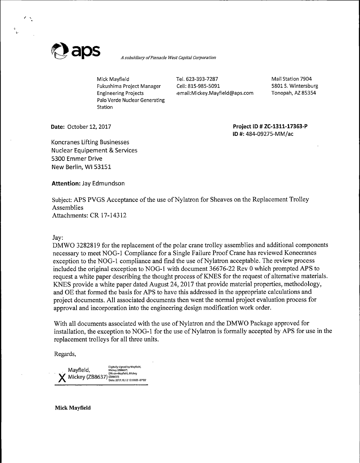

 $\cdot$   $\cdot$ 

y.

**t}aps** *A subsidiary of Pinnacle West Capital Corporation* 

Mick Mayfield Fukushima Project Manager Engineering Projects Palo Verde Nuclear Generating Station

Tel. 623-393-7287 Cell: 815-985-5091 1email:Mickey.Mayfield@aps.com Mail Station 7904 5801 S. Wintersburg Tonopah, AZ 85354

Date: October 12, 2017

Project ID# ZC-1311-17363-P ID#: 484-09275-MM/ac

Koncranes Lifting Businesses Nuclear Equipement & Services 5300 Emmer Drive New Berlin, WI 53151

Attention: Jay Edmundson

Subject: APS PVGS Acceptance of the use of Nylatron for Sheaves on the Replacement Trolley Assemblies Attachments: CR 17-14312

## Jay:

DMWO 3282819 for the replacement of the polar crane trolley assemblies and additional components necessary to meet NOG-1 Compliance for a Single Failure Proof Crane has reviewed Konecranes exception to the NOG-1 compliance and find the use of Nylatron acceptable. The review process included the original exception to NOG-1 with document 36676-22 Rev 0 which prompted APS to request a white paper describing the thought process of KNES for the request of alternative materials. KNES provide a white paper dated August 24, 2017 that provide material properties, methodology, and OE that formed the basis for APS to have this addressed in the appropriate calculations and project documents. All associated documents then went the normal project evaluation process for approval and incorporation into the engineering design modification work order.

With all documents associated with the use of Nylatron and the DMWO Package approved for installation, the exception to NOG-1 for the use of Nylatron is formally accepted by APS for use in the replacement trolleys for all three units.

Regards,

Digitally signed by Mayfield,<br>Mickey (ZBB637)<br>Mi: cn=Mayfield, Mickey Mickey (ZB8637) CEB8637) CLINDSINELD, MICKEY

Mick Mayfield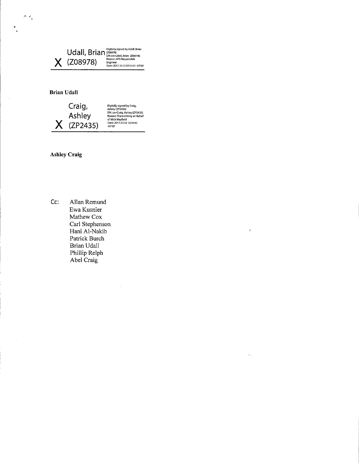$\textsf{Udall}, \textsf{Brian} \frac{\textsf{Digitally signed by Udall}, \textsf{Brian}}{\textsf{DN: cn=Udall}, \textsf{Brian}, \textsf{ZO8978}} \ \textsf{ZO8978} \ \textsf{Eugine} \ \textsf{Dust: 2017.10.12.07:23:31-070}}$ Reason: APS Responsible Engineer Date: 2017.10.12 07:23:31 -07'00'

## Brian Udall

 $\left\langle \epsilon,\,\phi\right\rangle _{c}$ 

Ł.

 $\bar{z}$ 

J.

Craig, Ashley X (ZP2435) Digitally signed by Craig, Ashley (ZP2435) DN: cn=Craig, Ashley (ZP2435) Reason: Transmitting on Behalf of Mick Mayfield Date: 2017.10.12 12:34:43 -07'00'

# Ashley Craig

Cc: Allan Remund Ewa Kusnier Mathew Cox Carl Stephenson Hani Al-Nakib Patrick Burch Brian Udall Phillip Relph Abel Craig

 $\bar{\bar{J}}$ 

 $\ddotsc$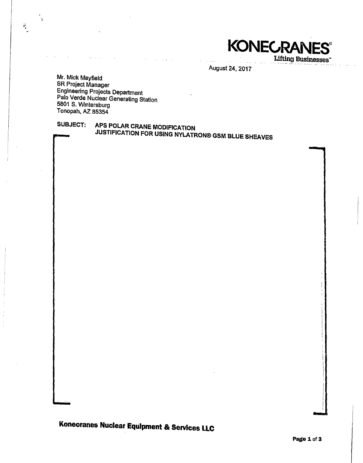KONEC.RANES® Lifting Businesses"

August 24, 2017

Mr. Mick Mayfield SR Project Manager Engineering Projects Department Palo Verde Nuclear Generating Station 5801 S. Wintersburg Tonopah, AZ 85354

 $\overline{t}$  $\ddot{\phantom{a}}$ 

 $\frac{\partial}{\partial x}$ 

# SUBJECT: APS POLAR CRANE MODIFICATION JUSTIFICATION FOR USING NYLA TRON® GSM BLUE SHEAVES

Konecranes Nuclear Equipment &: Services LLC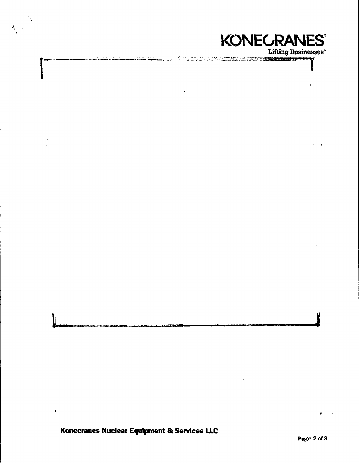# **KONECRANES®**

Lifting Businesses" <u> 1900 - Andrew Constantinople</u>

Konecranes Nuclear Equipment & Services LLC

 $\bar{\mathbf{t}}$ 

 $\ddot{\cdot}$ 

 $\mathbf{r}_i$